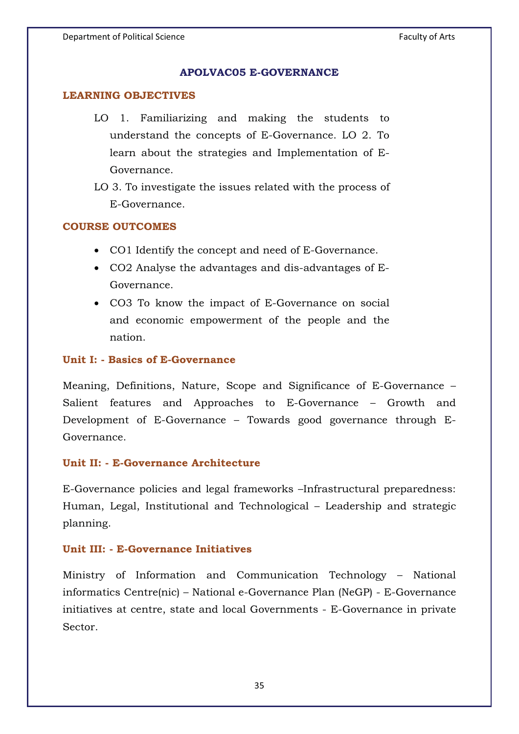#### **APOLVAC05 E-GOVERNANCE**

#### **LEARNING OBJECTIVES**

- LO 1. Familiarizing and making the students to understand the concepts of E-Governance. LO 2. To learn about the strategies and Implementation of E-Governance.
- LO 3. To investigate the issues related with the process of E-Governance.

### **COURSE OUTCOMES**

- CO1 Identify the concept and need of E-Governance.
- CO2 Analyse the advantages and dis-advantages of E-Governance.
- CO3 To know the impact of E-Governance on social and economic empowerment of the people and the nation.

#### **Unit I: - Basics of E-Governance**

Meaning, Definitions, Nature, Scope and Significance of E-Governance – Salient features and Approaches to E-Governance – Growth and Development of E-Governance – Towards good governance through E-Governance.

#### **Unit II: - E-Governance Architecture**

E-Governance policies and legal frameworks –Infrastructural preparedness: Human, Legal, Institutional and Technological – Leadership and strategic planning.

#### **Unit III: - E-Governance Initiatives**

Ministry of Information and Communication Technology – National informatics Centre(nic) – National e-Governance Plan (NeGP) - E-Governance initiatives at centre, state and local Governments - E-Governance in private Sector.